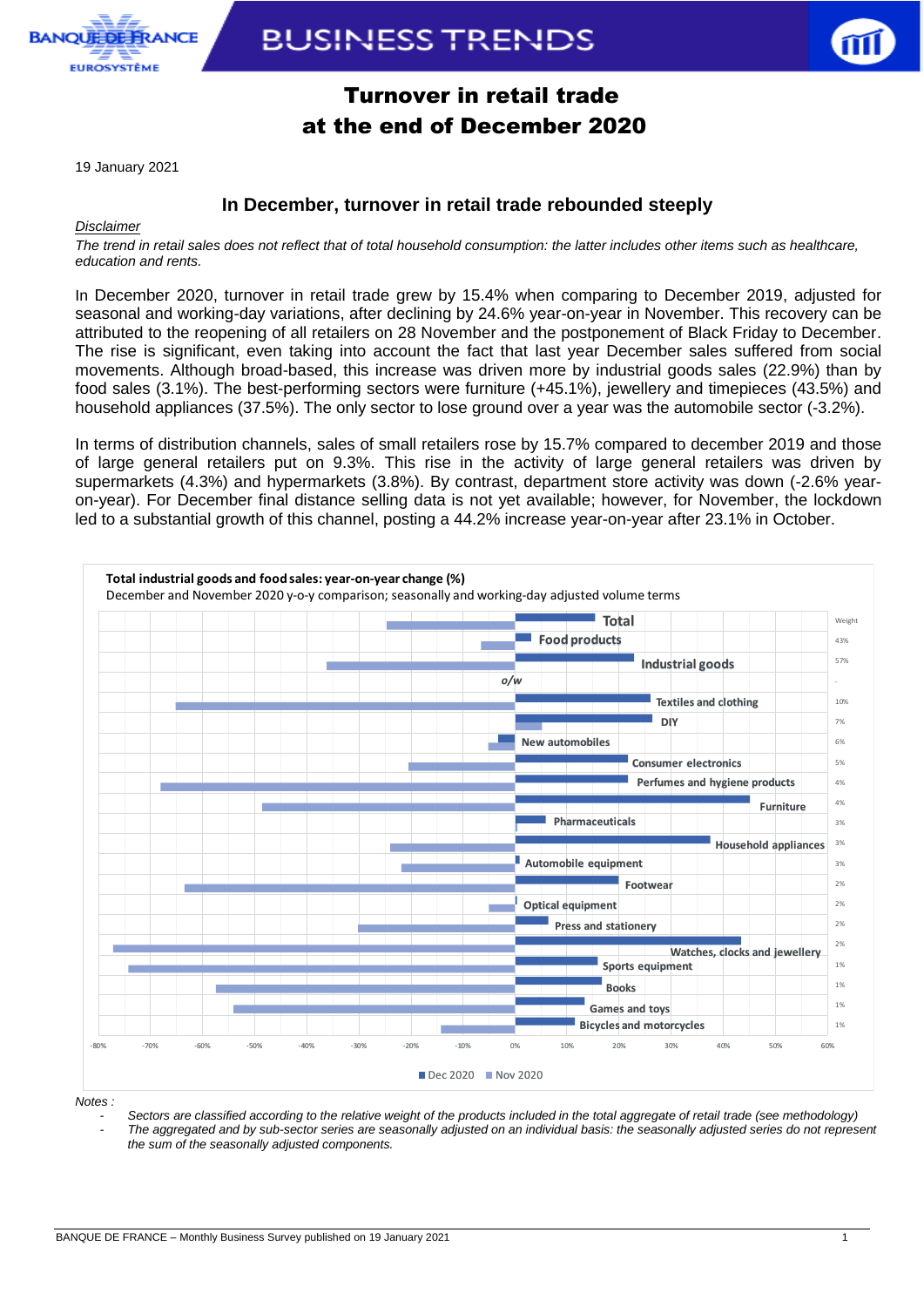

## **BUSINESS TRENDS**



### Turnover in retail trade at the end of December 2020

19 January 2021

### **In December, turnover in retail trade rebounded steeply**

#### *Disclaimer*

*The trend in retail sales does not reflect that of total household consumption: the latter includes other items such as healthcare, education and rents.*

In December 2020, turnover in retail trade grew by 15.4% when comparing to December 2019, adjusted for seasonal and working-day variations, after declining by 24.6% year-on-year in November. This recovery can be attributed to the reopening of all retailers on 28 November and the postponement of Black Friday to December. The rise is significant, even taking into account the fact that last year December sales suffered from social movements. Although broad-based, this increase was driven more by industrial goods sales (22.9%) than by food sales (3.1%). The best-performing sectors were furniture (+45.1%), jewellery and timepieces (43.5%) and household appliances (37.5%). The only sector to lose ground over a year was the automobile sector (-3.2%).

In terms of distribution channels, sales of small retailers rose by 15.7% compared to december 2019 and those of large general retailers put on 9.3%. This rise in the activity of large general retailers was driven by supermarkets (4.3%) and hypermarkets (3.8%). By contrast, department store activity was down (-2.6% yearon-year). For December final distance selling data is not yet available; however, for November, the lockdown led to a substantial growth of this channel, posting a 44.2% increase year-on-year after 23.1% in October. **The Strain Strain Strain Strain Strain Strain Strain Strain Strain Strain Strain Strain Strain Strain Strain Strain Strain Strain Strain Strain Strain Strain Strain Strain Strain Strain Strain Strain Strain Strain Strain** 



*Notes :* 

*- Sectors are classified according to the relative weight of the products included in the total aggregate of retail trade (see methodology)*

*- The aggregated and by sub-sector series are seasonally adjusted on an individual basis: the seasonally adjusted series do not represent the sum of the seasonally adjusted components.*